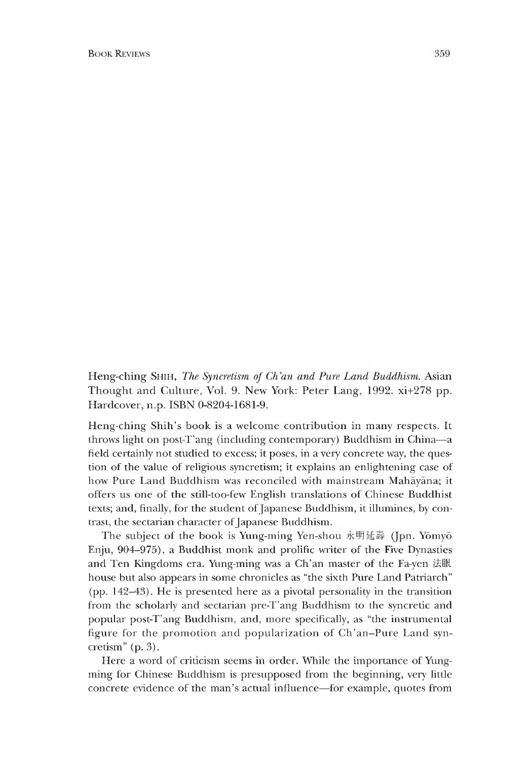Heng-ching SHIH, *The Syncretism of Ch'an and Pure Land Buddhism*. Asian Thought and Culture, Vol. 9. New York: Peter Lang, 1992. xi+278 pp. Hardcover, n.p. ISBN 0-8204-1681-9.

Heng-ching Shih's book is a welcome contribution in many respects. It throws light on post-T'ang (including contemporary) Buddhism in China—a field certainly not studied to excess; it poses, in a very concrete way, the question of the value of religious syncretism; it explains an enlightening case of how Pure Land Buddhism was reconciled with mainstream Mahayana; it offers us one of the still-too-few English translations of Chinese Buddhist texts; and, finally, for the student of Japanese Buddhism, it illumines, by contrast, the sectarian character of Japanese Buddhism.

The subject of the book is Yung-ming Yen-shou 永明延壽 (Jpn. Yomyo Enju, 904-975), a Buddhist monk and prolific writer of the Five Dynasties and Ten Kingdoms era. Yung-ming was a Ch'an master of the Fa-yen 法眼 house but also appears in some chronicles as "the sixth Pure Land Patriarch" (pp. 142-43). He is presented here as a pivotal personality in the transition from the scholarly and sectarian pre-T'ang Buddhism to the syncretic and popular post-T'ang Buddhism, and, more specifically, as "the instrumental figure for the promotion and popularization of Ch'an-Pure Land syncretism"  $(p. 3)$ .

Here a word of criticism seems in order. While the importance of Yungming for Chinese Buddhism is presupposed from the beginning, very little concrete evidence of the man's actual influence—for example, quotes from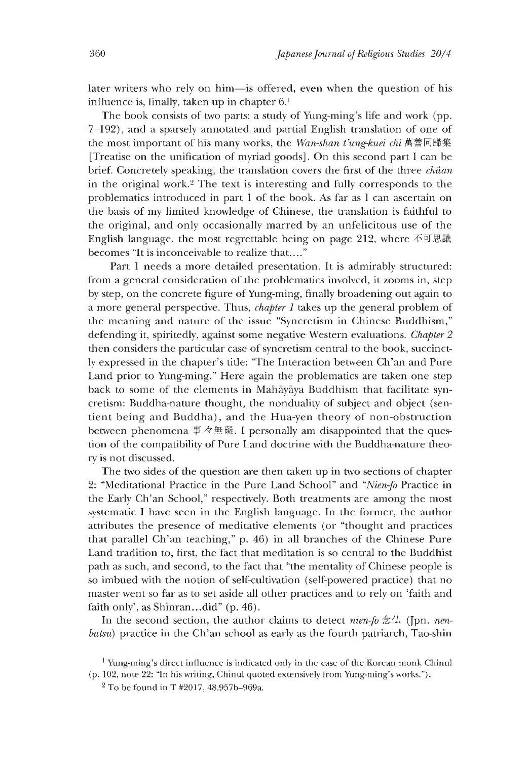later writers who rely on him—is offered, even when the question of his influence is, finally, taken up in chapter 6.1

The book consists of two parts: a study of Yung-ming's life and work (pp. 7-192), and a sparsely annotated and partial English translation of one of the most important of his many works, the *Wan-shan t'ung-kuei chi* 萬善同歸集 [Treatise on the unification of myriad goods]. On this second part I can be brief. Concretely speaking, the translation covers the first of the three *chilan* in the original work.2 The text is interesting and fully corresponds to the problematics introduced in part 1 of the book. As far as I can ascertain on the basis of my limited knowledge of Chinese, the translation is faithful to the original, and only occasionally marred by an unfelicitous use of the English language, the most regrettable being on page 212, where 不可思議 becomes "It is inconceivable to realize that...."

Part 1 needs a more detailed presentation. It is admirably structured: from a general consideration of the problematics involved, it zooms in, step by step, on the concrete figure of Yung-ming, finally broadening out again to a more general perspective. Thus, *chapter 1* takes up the general problem of the meaning and nature of the issue "Syncretism in Chinese Buddhism," defending it, spiritedly, against some negative Western evaluations. *Chapter 2* then considers the particular case of syncretism central to the book, succinctly expressed in the chapter's title: "The Interaction between Ch'an and Pure Land prior to Yung-ming." Here again the problematics are taken one step back to some of the elements in Mahāyāya Buddhism that facilitate syncretism: Buddha-nature thought, the nonduality of subject and object (sentient being and Buddha), and the Hua-yen theory of non-obstruction between phenomena 事々無礙. I personally am disappointed that the question of the compatibility of Pure Land doctrine with the Buddha-nature theory is not discussed.

The two sides of the question are then taken up in two sections of chapter 2: "Meditational Practice in the Pure Land School" and *"Nien-fo* Practice in the Early Ch'an School," respectively. Both treatments are among the most systematic I have seen in the English language. In the former, the author attributes the presence of meditative elements (or "thought and practices that parallel Ch'an teaching," p. 46) in all branches of the Chinese Pure Land tradition to, first, the fact that meditation is so central to the Buddhist path as such, and second, to the fact that "the mentality of Chinese people is so imbued with the notion of self-cultivation (self-powered practice) that no master went so far as to set aside all other practices and to rely on 'faith and faith only', as Shinran...did"  $(p. 46)$ .

In the second section, the author claims to detect *nien-fo* 念仏 (Jpn. *nenbutsu)* practice in the Ch'an school as early as the fourth patriarch, Tao-shin

 $1$  Yung-ming's direct influence is indicated only in the case of the Korean monk Chinul (p. 102, note 22: "In his writing, Chinul quoted extensively from Yung-ming's works.").

 $2$  To be found in T #2017. 48.957b-969a.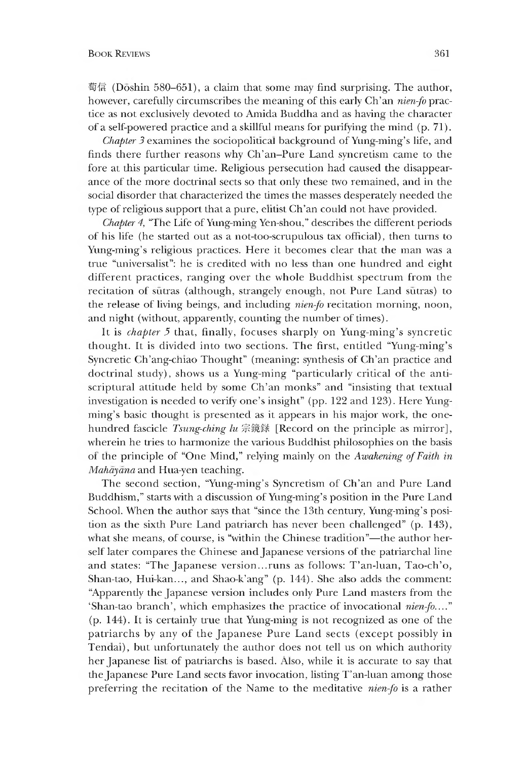萄信 (Doshin 580–651), a claim that some may find surprising. The author, however, carefully circumscribes the meaning of this early Ch'an *nien-fo* practice as not exclusively devoted to Amida Buddha and as having the character of a self-powered practice and a skillful means for purifying the mind (p. 71).

*Chapter 3* examines the sociopolitical background of Yung-ming's life, and finds there further reasons why Ch'an-Pure Land syncretism came to the fore at this particular time. Religious persecution had caused the disappearance of the more doctrinal sects so that only these two remained, and in the social disorder that characterized the times the masses desperately needed the type of religious support that a pure, elitist Ch'an could not have provided.

*Chapter 4,* "The Life of Yung-ming Yen-shou," describes the different periods of his life (he started out as a not-too-scrupulous tax official), then turns to Yung-ming's religious practices. Here it becomes clear that the man was a true "universalist": he is credited with no less than one hundred and eight different practices, ranging over the whole Buddhist spectrum from the recitation of sūtras (although, strangely enough, not Pure Land sūtras) to the release of living beings, ana including *nien-fo* recitation morning, noon, and night (without, apparently, counting the number of times).

It is *chapter 5* that, finally, focuses sharply on Yung-ming's syncretic thought. It is divided into two sections. The first, entitled "Yung-ming's Syncretic Ch'ang-chiao Thought" (meaning: synthesis of Ch'an practice and doctrinal study), shows us a Yung-ming "particularly critical of the antiscriptural attitude held by some Ch'an monks" and "insisting that textual investigation is needed to verify one's insight" (pp.122 and 123). Here Yungming's basic thought is presented as it appears in his major work, the onehundred fascicle *Tsung-ching lu* 宗鏡録[Record on the principle as mirror], wherein he tries to harmonize the various Buddhist philosophies on the basis of the principle of "One Mind," relying mainly on the *Awakening of Faith in Mahayana* and Hua-yen teaching.

The second section, "Yung-ming's Syncretism of Ch'an and Pure Land Buddhism," starts with a discussion of Yung-ming's position in the Pure Land School. When the author says that "since the 13th century, Yung-ming's position as the sixth Pure Land patriarch has never been challenged" (p. 143), what she means, of course, is "within the Chinese tradition"-the author herself later compares the Chinese and Japanese versions of the patriarchal line and states: "The Japanese version...runs as follows: T'an-luan, Tao-ch'o, Shan-tao, Hui-kan..., and Shao-k'ang" (p. 144). She also adds the comment: "Aoparently the Japanese version includes only Pure Land masters from the 'Shan-tao branch', which emphasizes the practice of invocational *nien-fo....*"  $(p. 144)$ . It is certainly true that Yung-ming is not recognized as one of the patriarchs by any of the Japanese Pure Land sects (except possibly in Tendai), but unfortunately the author does not tell us on which authority her Japanese list of patriarchs is based. Also, while it is accurate to say that the Japanese Pure Land sects favor invocation, listing T'an-luan among those preferring the recitation of the Name to the meditative *nien-fo* is a rather